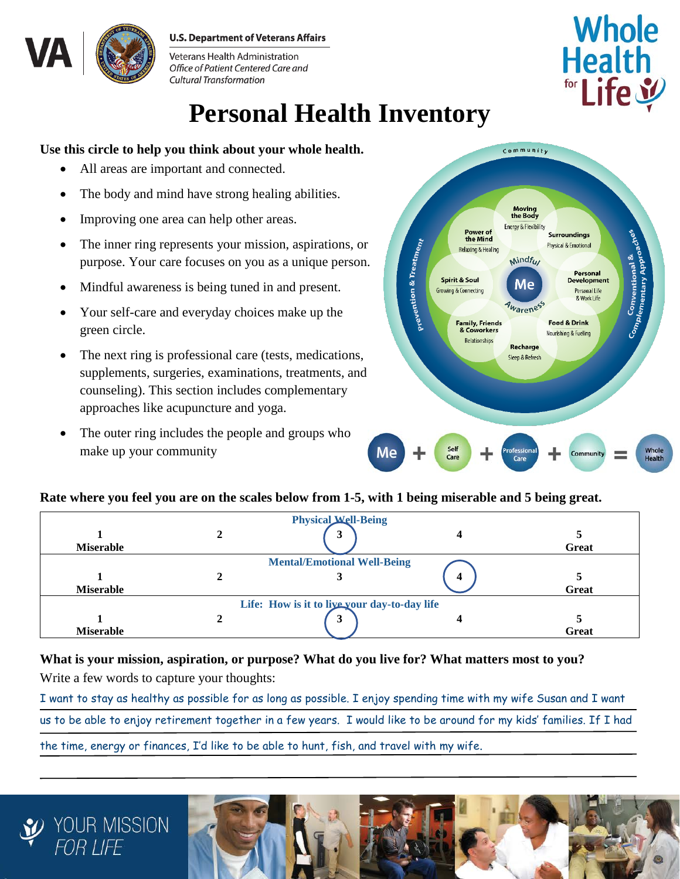#### **U.S. Department of Veterans Affairs**



Veterans Health Administration Office of Patient Centered Care and **Cultural Transformation** 

# **Personal Health Inventory**

### **Use this circle to help you think about your whole health.**

- All areas are important and connected.
- The body and mind have strong healing abilities.
- Improving one area can help other areas.
- The inner ring represents your mission, aspirations, or purpose. Your care focuses on you as a unique person.
- Mindful awareness is being tuned in and present.
- Your self-care and everyday choices make up the green circle.
- The next ring is professional care (tests, medications, supplements, surgeries, examinations, treatments, and counseling). This section includes complementary approaches like acupuncture and yoga.
- The outer ring includes the people and groups who make up your community



**Whole** 

**Health** 

for Life y

#### **Rate where you feel you are on the scales below from 1-5, with 1 being miserable and 5 being great.**

| <b>Miserable</b> | <b>Physical Well-Being</b><br>Ĵ              |   | Great |
|------------------|----------------------------------------------|---|-------|
| <b>Miserable</b> | <b>Mental/Emotional Well-Being</b>           | 4 | Great |
|                  | Life: How is it to live your day-to-day life |   |       |
| <b>Miserable</b> | 3                                            |   | Great |

## **What is your mission, aspiration, or purpose? What do you live for? What matters most to you?**

Write a few words to capture your thoughts:

I want to stay as healthy as possible for as long as possible. I enjoy spending time with my wife Susan and I want us to be able to enjoy retirement together in a few years. I would like to be around for my kids' families. If I had the time, energy or finances, I'd like to be able to hunt, fish, and travel with my wife.